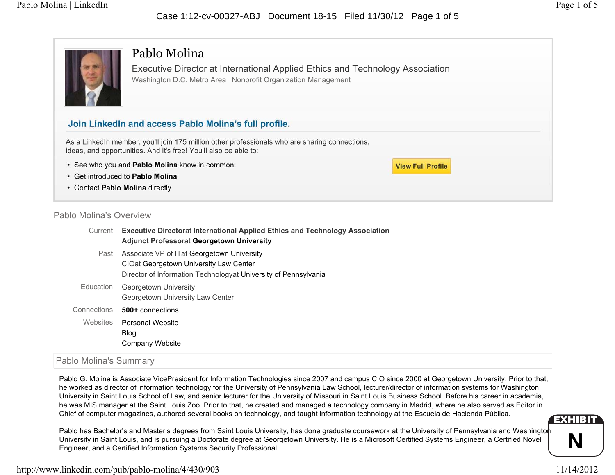## Case 1:12-cv-00327-ABJ Document 18-15 Filed 11/30/12 Page 1 of 5

**View Full Profile** 



## Pablo Molina

Executive Director at International Applied Ethics and Technology Association Washington D.C. Metro Area | Nonprofit Organization Management

## Join LinkedIn and access Pablo Molina's full profile.

As a LinkedIn member, you'll join 175 million other professionals who are sharing connections, ideas, and opportunities. And it's free! You'll also be able to:

- See who you and Pablo Molina know in common
- Get introduced to Pablo Molina
- Contact Pablo Molina directly

## Pablo Molina's Overview

| Current     | <b>Executive Directorat International Applied Ethics and Technology Association</b><br><b>Adjunct Professorat Georgetown University</b>                 |
|-------------|---------------------------------------------------------------------------------------------------------------------------------------------------------|
| Past        | Associate VP of ITat Georgetown University<br>CIOat Georgetown University Law Center<br>Director of Information Technologyat University of Pennsylvania |
| Education   | Georgetown University<br>Georgetown University Law Center                                                                                               |
| Connections | 500+ connections                                                                                                                                        |
| Websites    | Personal Website<br><b>Blog</b><br>Company Website                                                                                                      |

## Pablo Molina's Summary

Pablo G. Molina is Associate VicePresident for Information Technologies since 2007 and campus CIO since 2000 at Georgetown University. Prior to that, he worked as director of information technology for the University of Pennsylvania Law School, lecturer/director of information systems for Washington University in Saint Louis School of Law, and senior lecturer for the University of Missouri in Saint Louis Business School. Before his career in academia, he was MIS manager at the Saint Louis Zoo. Prior to that, he created and managed a technology company in Madrid, where he also served as Editor in Chief of computer magazines, authored several books on technology, and taught information technology at the Escuela de Hacienda Pública.

Pablo has Bachelor's and Master's degrees from Saint Louis University, has done graduate coursework at the University of Pennsylvania and Washington University in Saint Louis, and is pursuing a Doctorate degree at Georgetown University. He is a Microsoft Certified Systems Engineer, a Certified Novell Engineer, and a Certified Information Systems Security Professional.

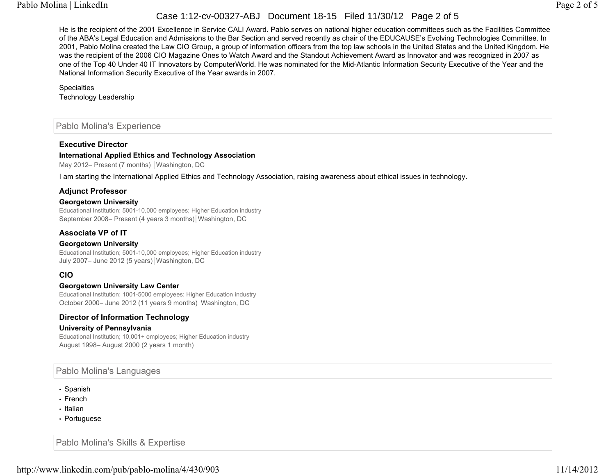## Case 1:12-cv-00327-ABJ Document 18-15 Filed 11/30/12 Page 2 of 5

He is the recipient of the 2001 Excellence in Service CALI Award. Pablo serves on national higher education committees such as the Facilities Committee of the ABA's Legal Education and Admissions to the Bar Section and served recently as chair of the EDUCAUSE's Evolving Technologies Committee. In 2001, Pablo Molina created the Law CIO Group, a group of information officers from the top law schools in the United States and the United Kingdom. He was the recipient of the 2006 CIO Magazine Ones to Watch Award and the Standout Achievement Award as Innovator and was recognized in 2007 as one of the Top 40 Under 40 IT Innovators by ComputerWorld. He was nominated for the Mid-Atlantic Information Security Executive of the Year and the National Information Security Executive of the Year awards in 2007.

#### **Specialties**

Technology Leadership

## Pablo Molina's Experience

#### **Executive Director**

#### **International Applied Ethics and Technology Association**

May 2012– Present (7 months) Washington, DC

I am starting the International Applied Ethics and Technology Association, raising awareness about ethical issues in technology.

#### **Adjunct Professor**

#### **Georgetown University**

Educational Institution; 5001-10,000 employees; Higher Education industry September 2008– Present (4 years 3 months) Washington, DC

## **Associate VP of IT**

#### **Georgetown University**

Educational Institution; 5001-10,000 employees; Higher Education industry July 2007- June 2012 (5 years) Washington, DC

## **CIO**

#### **Georgetown University Law Center**

Educational Institution; 1001-5000 employees; Higher Education industry October 2000– June 2012 (11 years 9 months) Washington, DC

## **Director of Information Technology**

#### **University of Pennsylvania**

Educational Institution; 10,001+ employees; Higher Education industry August 1998– August 2000 (2 years 1 month)

## Pablo Molina's Languages

- Spanish
- French
- Italian
- Portuguese

Pablo Molina's Skills & Expertise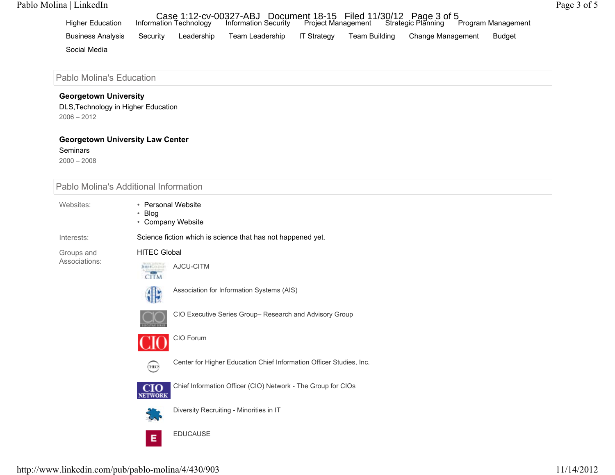## Pablo Molina | LinkedI n

| <b>Higher Education</b>  |          | Information Technology | Case 1:12-cv-00327-ABJ Document 18-15 Filed 11/30/12 Page 3 of 5<br>vation Technology Information Security Project Management Strategic Planning P |             |               |                   | Program Management |
|--------------------------|----------|------------------------|----------------------------------------------------------------------------------------------------------------------------------------------------|-------------|---------------|-------------------|--------------------|
| <b>Business Analysis</b> | Security | Leadership             | Team Leadership                                                                                                                                    | IT Strategy | Team Building | Change Management | <b>Budget</b>      |
| Social Media             |          |                        |                                                                                                                                                    |             |               |                   |                    |

Pablo Molina's Education

#### **Georgetown Universit y**

DLS,Technology in Higher Education 2006 – 2012

#### **Georgetown University Law Center**

**Seminars** 

2000 – 2008

Pablo Molina's Additional Information

Websites:

- Personal Website• Blog
- Company Website

Interests:

Groups and Associations: HITEC Global



AJCU-CITM



Association for Information Systems (AIS)

Science fiction which is science that has not happened yet.



CIO Executive Series Group– Research and Advisory Group



CIO Forum



Center for Higher Education Chief Information Officer Studies, Inc.



Chief Information Officer (CIO) Network - The Group for CIOs



Diversity Recruiting - Minorities in I T

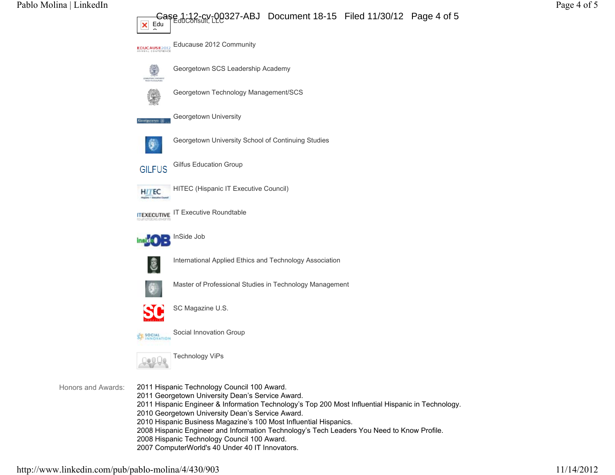Pablo Molina | LinkedIn Page 4 of 5

## EduConsult, LLC Case 1:12-cv-00327-ABJ Document 18-15 Filed 11/30/12 Page 4 of 5



2011 Hispanic Engineer & Information Technology's Top 200 Most Influential Hispanic in Technology.

- 2010 Georgetown University Dean's Service Award.
- 2010 Hispanic Business Magazine's 100 Most Influential Hispanics.
- 2008 Hispanic Engineer and Information Technology's Tech Leaders You Need to Know Profile.
- 2008 Hispanic Technology Council 100 Award.
- 2007 ComputerWorld's 40 Under 40 IT Innovators.

Honors and Awards: